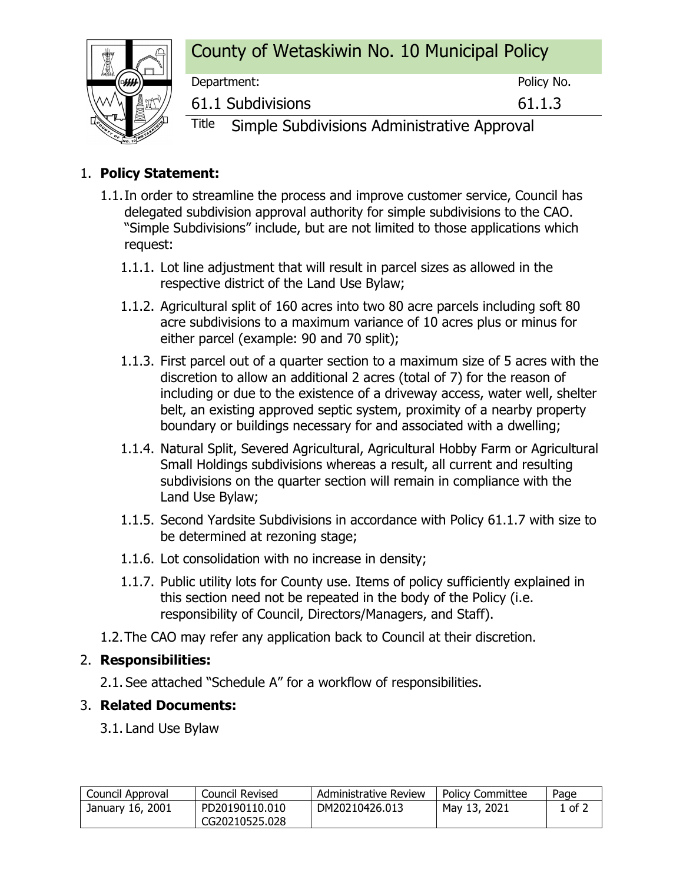## County of Wetaskiwin No. 10 Municipal Policy



Department: Policy No. 61.1 Subdivisions 61.1.3

Title Simple Subdivisions Administrative Approval

### 1. **Policy Statement:**

- 1.1.In order to streamline the process and improve customer service, Council has delegated subdivision approval authority for simple subdivisions to the CAO. "Simple Subdivisions" include, but are not limited to those applications which request:
	- 1.1.1. Lot line adjustment that will result in parcel sizes as allowed in the respective district of the Land Use Bylaw;
	- 1.1.2. Agricultural split of 160 acres into two 80 acre parcels including soft 80 acre subdivisions to a maximum variance of 10 acres plus or minus for either parcel (example: 90 and 70 split);
	- 1.1.3. First parcel out of a quarter section to a maximum size of 5 acres with the discretion to allow an additional 2 acres (total of 7) for the reason of including or due to the existence of a driveway access, water well, shelter belt, an existing approved septic system, proximity of a nearby property boundary or buildings necessary for and associated with a dwelling;
	- 1.1.4. Natural Split, Severed Agricultural, Agricultural Hobby Farm or Agricultural Small Holdings subdivisions whereas a result, all current and resulting subdivisions on the quarter section will remain in compliance with the Land Use Bylaw;
	- 1.1.5. Second Yardsite Subdivisions in accordance with Policy 61.1.7 with size to be determined at rezoning stage;
	- 1.1.6. Lot consolidation with no increase in density;
	- 1.1.7. Public utility lots for County use. Items of policy sufficiently explained in this section need not be repeated in the body of the Policy (i.e. responsibility of Council, Directors/Managers, and Staff).
- 1.2.The CAO may refer any application back to Council at their discretion.

#### 2. **Responsibilities:**

2.1. See attached "Schedule A" for a workflow of responsibilities.

#### 3. **Related Documents:**

3.1. Land Use Bylaw

| Council Approval | Council Revised | Administrative Review | <b>Policy Committee</b> | Page   |
|------------------|-----------------|-----------------------|-------------------------|--------|
| January 16, 2001 | PD20190110.010  | DM20210426.013        | May 13, 2021            | 1 of 2 |
|                  | CG20210525.028  |                       |                         |        |